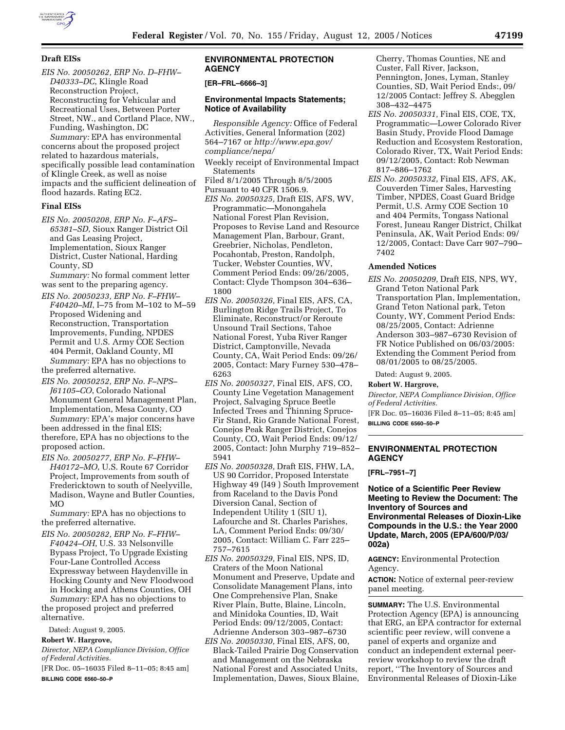

*EIS No. 20050262, ERP No. D–FHW– D40333–DC*, Klingle Road Reconstruction Project, Reconstructing for Vehicular and Recreational Uses, Between Porter Street, NW., and Cortland Place, NW., Funding, Washington, DC *Summary:* EPA has environmental

concerns about the proposed project related to hazardous materials, specifically possible lead contamination of Klingle Creek, as well as noise impacts and the sufficient delineation of flood hazards. Rating EC2.

# **Final EISs**

*EIS No. 20050208, ERP No. F–AFS– 65381–SD*, Sioux Ranger District Oil and Gas Leasing Project, Implementation, Sioux Ranger District, Custer National, Harding County, SD

*Summary:* No formal comment letter was sent to the preparing agency.

- *EIS No. 20050233, ERP No. F–FHW– F40420–MI*, I–75 from M–102 to M–59 Proposed Widening and Reconstruction, Transportation Improvements, Funding, NPDES Permit and U.S. Army COE Section 404 Permit, Oakland County, MI *Summary:* EPA has no objections to the preferred alternative.
- *EIS No. 20050252, ERP No. F–NPS– J61105–CO*, Colorado National Monument General Management Plan, Implementation, Mesa County, CO *Summary:* EPA's major concerns have

been addressed in the final EIS; therefore, EPA has no objections to the proposed action.

*EIS No. 20050277, ERP No. F–FHW– H40172–MO*, U.S. Route 67 Corridor Project, Improvements from south of Fredericktown to south of Neelyville, Madison, Wayne and Butler Counties, MO

*Summary:* EPA has no objections to the preferred alternative.

*EIS No. 20050282, ERP No. F–FHW– F40424–OH*, U.S. 33 Nelsonville Bypass Project, To Upgrade Existing Four-Lane Controlled Access Expressway between Haydenville in Hocking County and New Floodwood in Hocking and Athens Counties, OH *Summary:* EPA has no objections to the proposed project and preferred alternative.

Dated: August 9, 2005.

## **Robert W. Hargrove,**

- *Director, NEPA Compliance Division, Office of Federal Activities.*
- [FR Doc. 05–16035 Filed 8–11–05; 8:45 am] **BILLING CODE 6560–50–P**

## **ENVIRONMENTAL PROTECTION AGENCY**

#### **[ER–FRL–6666–3]**

#### **Environmental Impacts Statements; Notice of Availability**

*Responsible Agency:* Office of Federal Activities, General Information (202) 564–7167 or *http://www.epa.gov/ compliance/nepa/*

- Weekly receipt of Environmental Impact Statements
- Filed 8/1/2005 Through 8/5/2005
- Pursuant to 40 CFR 1506.9.
- *EIS No. 20050325,* Draft EIS, AFS, WV, Programmatic—Monongahela National Forest Plan Revision, Proposes to Revise Land and Resource Management Plan, Barbour, Grant, Greebrier, Nicholas, Pendleton, Pocahontab, Preston, Randolph, Tucker, Webster Counties, WV, Comment Period Ends: 09/26/2005, Contact: Clyde Thompson 304–636– 1800
- *EIS No. 20050326,* Final EIS, AFS, CA, Burlington Ridge Trails Project, To Eliminate, Reconstruct/or Reroute Unsound Trail Sections, Tahoe National Forest, Yuba River Ranger District, Camptonville, Nevada County, CA, Wait Period Ends: 09/26/ 2005, Contact: Mary Furney 530–478– 6263
- *EIS No. 20050327,* Final EIS, AFS, CO, County Line Vegetation Management Project, Salvaging Spruce Beetle Infected Trees and Thinning Spruce-Fir Stand, Rio Grande National Forest, Conejos Peak Ranger District, Conejos County, CO, Wait Period Ends: 09/12/ 2005, Contact: John Murphy 719–852– 5941
- *EIS No. 20050328,* Draft EIS, FHW, LA, US 90 Corridor, Proposed Interstate Highway 49 (I49 ) South Improvement from Raceland to the Davis Pond Diversion Canal, Section of Independent Utility 1 (SIU 1), Lafourche and St. Charles Parishes, LA, Comment Period Ends: 09/30/ 2005, Contact: William C. Farr 225– 757–7615
- *EIS No. 20050329,* Final EIS, NPS, ID, Craters of the Moon National Monument and Preserve, Update and Consolidate Management Plans, into One Comprehensive Plan, Snake River Plain, Butte, Blaine, Lincoln, and Minidoka Counties, ID, Wait Period Ends: 09/12/2005, Contact: Adrienne Anderson 303–987–6730
- *EIS No. 20050330,* Final EIS, AFS, 00, Black-Tailed Prairie Dog Conservation and Management on the Nebraska National Forest and Associated Units, Implementation, Dawes, Sioux Blaine,

Cherry, Thomas Counties, NE and Custer, Fall River, Jackson, Pennington, Jones, Lyman, Stanley Counties, SD, Wait Period Ends:, 09/ 12/2005 Contact: Jeffrey S. Abegglen 308–432–4475

- *EIS No. 20050331,* Final EIS, COE, TX, Programmatic—Lower Colorado River Basin Study, Provide Flood Damage Reduction and Ecosystem Restoration, Colorado River, TX, Wait Period Ends: 09/12/2005, Contact: Rob Newman 817–886–1762
- *EIS No. 20050332,* Final EIS, AFS, AK, Couverden Timer Sales, Harvesting Timber, NPDES, Coast Guard Bridge Permit, U.S. Army COE Section 10 and 404 Permits, Tongass National Forest, Juneau Ranger District, Chilkat Peninsula, AK, Wait Period Ends: 09/ 12/2005, Contact: Dave Carr 907–790– 7402

# **Amended Notices**

*EIS No. 20050209,* Draft EIS, NPS, WY, Grand Teton National Park Transportation Plan, Implementation, Grand Teton National park, Teton County, WY, Comment Period Ends: 08/25/2005, Contact: Adrienne Anderson 303–987–6730 Revision of FR Notice Published on 06/03/2005: Extending the Comment Period from 08/01/2005 to 08/25/2005.

Dated: August 9, 2005.

### **Robert W. Hargrove,**

*Director, NEPA Compliance Division, Office of Federal Activities.*

[FR Doc. 05–16036 Filed 8–11–05; 8:45 am] **BILLING CODE 6560–50–P**

#### **ENVIRONMENTAL PROTECTION AGENCY**

**[FRL–7951–7]** 

**Notice of a Scientific Peer Review Meeting to Review the Document: The Inventory of Sources and Environmental Releases of Dioxin-Like Compounds in the U.S.: the Year 2000 Update, March, 2005 (EPA/600/P/03/ 002a)**

**AGENCY:** Environmental Protection Agency.

**ACTION:** Notice of external peer-review panel meeting.

**SUMMARY:** The U.S. Environmental Protection Agency (EPA) is announcing that ERG, an EPA contractor for external scientific peer review, will convene a panel of experts and organize and conduct an independent external peerreview workshop to review the draft report, ''The Inventory of Sources and Environmental Releases of Dioxin-Like